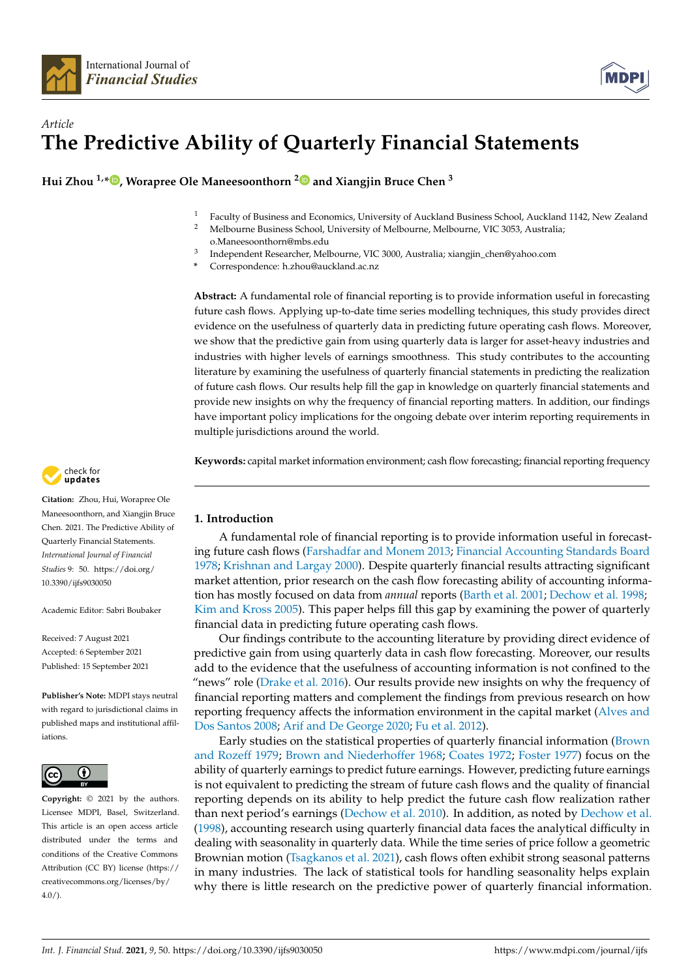



# *Article* **The Predictive Ability of Quarterly Financial Statements**

**Hui Zhou 1,[\\*](https://orcid.org/0000-0001-7003-0334) , Worapree Ole Maneesoonthorn [2](https://orcid.org/0000-0003-3479-0488) and Xiangjin Bruce Chen <sup>3</sup>**

- <sup>1</sup> Faculty of Business and Economics, University of Auckland Business School, Auckland 1142, New Zealand <sup>2</sup><br><sup>2</sup> Melbourne Business School, University of Melbourne, Melbourne, VIC 2053, Australia
- <sup>2</sup> Melbourne Business School, University of Melbourne, Melbourne, VIC 3053, Australia; o.Maneesoonthorn@mbs.edu
- 3 Independent Researcher, Melbourne, VIC 3000, Australia; xiangjin\_chen@yahoo.com
- **\*** Correspondence: h.zhou@auckland.ac.nz

**Abstract:** A fundamental role of financial reporting is to provide information useful in forecasting future cash flows. Applying up-to-date time series modelling techniques, this study provides direct evidence on the usefulness of quarterly data in predicting future operating cash flows. Moreover, we show that the predictive gain from using quarterly data is larger for asset-heavy industries and industries with higher levels of earnings smoothness. This study contributes to the accounting literature by examining the usefulness of quarterly financial statements in predicting the realization of future cash flows. Our results help fill the gap in knowledge on quarterly financial statements and provide new insights on why the frequency of financial reporting matters. In addition, our findings have important policy implications for the ongoing debate over interim reporting requirements in multiple jurisdictions around the world.

**Keywords:** capital market information environment; cash flow forecasting; financial reporting frequency

# **1. Introduction**

A fundamental role of financial reporting is to provide information useful in forecasting future cash flows [\(Farshadfar and Monem](#page-16-0) [2013;](#page-16-0) [Financial Accounting Standards Board](#page-16-1) [1978;](#page-16-1) [Krishnan and Largay](#page-16-2) [2000\)](#page-16-2). Despite quarterly financial results attracting significant market attention, prior research on the cash flow forecasting ability of accounting information has mostly focused on data from *annual* reports [\(Barth et al.](#page-15-0) [2001;](#page-15-0) [Dechow et al.](#page-15-1) [1998;](#page-15-1) [Kim and Kross](#page-16-3) [2005\)](#page-16-3). This paper helps fill this gap by examining the power of quarterly financial data in predicting future operating cash flows.

Our findings contribute to the accounting literature by providing direct evidence of predictive gain from using quarterly data in cash flow forecasting. Moreover, our results add to the evidence that the usefulness of accounting information is not confined to the "news" role [\(Drake et al.](#page-15-2) [2016\)](#page-15-2). Our results provide new insights on why the frequency of financial reporting matters and complement the findings from previous research on how reporting frequency affects the information environment in the capital market [\(Alves and](#page-15-3) [Dos Santos](#page-15-3) [2008;](#page-15-3) [Arif and De George](#page-15-4) [2020;](#page-15-4) [Fu et al.](#page-16-4) [2012\)](#page-16-4).

Early studies on the statistical properties of quarterly financial information [\(Brown](#page-15-5) [and Rozeff](#page-15-5) [1979;](#page-15-5) [Brown and Niederhoffer](#page-15-6) [1968;](#page-15-6) [Coates](#page-15-7) [1972;](#page-15-7) [Foster](#page-16-5) [1977\)](#page-16-5) focus on the ability of quarterly earnings to predict future earnings. However, predicting future earnings is not equivalent to predicting the stream of future cash flows and the quality of financial reporting depends on its ability to help predict the future cash flow realization rather than next period's earnings [\(Dechow et al.](#page-15-8) [2010\)](#page-15-8). In addition, as noted by [Dechow et al.](#page-15-1) [\(1998\)](#page-15-1), accounting research using quarterly financial data faces the analytical difficulty in dealing with seasonality in quarterly data. While the time series of price follow a geometric Brownian motion [\(Tsagkanos et al.](#page-16-6) [2021\)](#page-16-6), cash flows often exhibit strong seasonal patterns in many industries. The lack of statistical tools for handling seasonality helps explain why there is little research on the predictive power of quarterly financial information.



**Citation:** Zhou, Hui, Worapree Ole Maneesoonthorn, and Xiangjin Bruce Chen. 2021. The Predictive Ability of Quarterly Financial Statements. *International Journal of Financial Studies* 9: 50. [https://doi.org/](https://doi.org/10.3390/ijfs9030050) [10.3390/ijfs9030050](https://doi.org/10.3390/ijfs9030050)

Academic Editor: Sabri Boubaker

Received: 7 August 2021 Accepted: 6 September 2021 Published: 15 September 2021

**Publisher's Note:** MDPI stays neutral with regard to jurisdictional claims in published maps and institutional affiliations.



**Copyright:** © 2021 by the authors. Licensee MDPI, Basel, Switzerland. This article is an open access article distributed under the terms and conditions of the Creative Commons Attribution (CC BY) license (https:/[/](https://creativecommons.org/licenses/by/4.0/) [creativecommons.org/licenses/by/](https://creativecommons.org/licenses/by/4.0/)  $4.0/$ ).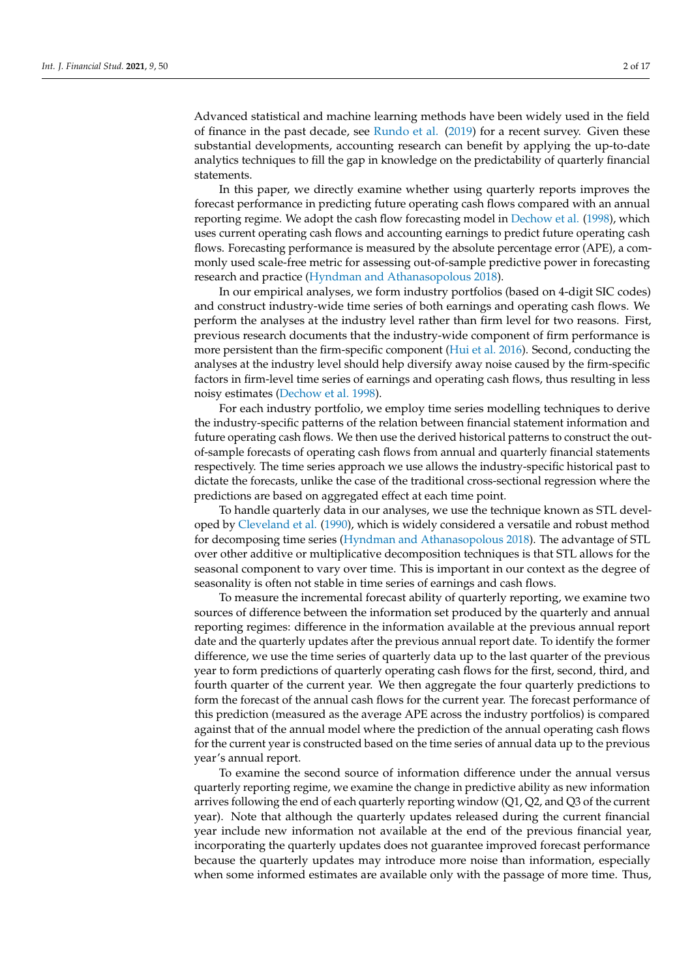Advanced statistical and machine learning methods have been widely used in the field of finance in the past decade, see [Rundo et al.](#page-16-7) [\(2019\)](#page-16-7) for a recent survey. Given these substantial developments, accounting research can benefit by applying the up-to-date analytics techniques to fill the gap in knowledge on the predictability of quarterly financial statements.

In this paper, we directly examine whether using quarterly reports improves the forecast performance in predicting future operating cash flows compared with an annual reporting regime. We adopt the cash flow forecasting model in [Dechow et al.](#page-15-1) [\(1998\)](#page-15-1), which uses current operating cash flows and accounting earnings to predict future operating cash flows. Forecasting performance is measured by the absolute percentage error (APE), a commonly used scale-free metric for assessing out-of-sample predictive power in forecasting research and practice [\(Hyndman and Athanasopolous](#page-16-8) [2018\)](#page-16-8).

In our empirical analyses, we form industry portfolios (based on 4-digit SIC codes) and construct industry-wide time series of both earnings and operating cash flows. We perform the analyses at the industry level rather than firm level for two reasons. First, previous research documents that the industry-wide component of firm performance is more persistent than the firm-specific component [\(Hui et al.](#page-16-9) [2016\)](#page-16-9). Second, conducting the analyses at the industry level should help diversify away noise caused by the firm-specific factors in firm-level time series of earnings and operating cash flows, thus resulting in less noisy estimates [\(Dechow et al.](#page-15-1) [1998\)](#page-15-1).

For each industry portfolio, we employ time series modelling techniques to derive the industry-specific patterns of the relation between financial statement information and future operating cash flows. We then use the derived historical patterns to construct the outof-sample forecasts of operating cash flows from annual and quarterly financial statements respectively. The time series approach we use allows the industry-specific historical past to dictate the forecasts, unlike the case of the traditional cross-sectional regression where the predictions are based on aggregated effect at each time point.

To handle quarterly data in our analyses, we use the technique known as STL developed by [Cleveland et al.](#page-15-9) [\(1990\)](#page-15-9), which is widely considered a versatile and robust method for decomposing time series [\(Hyndman and Athanasopolous](#page-16-8) [2018\)](#page-16-8). The advantage of STL over other additive or multiplicative decomposition techniques is that STL allows for the seasonal component to vary over time. This is important in our context as the degree of seasonality is often not stable in time series of earnings and cash flows.

To measure the incremental forecast ability of quarterly reporting, we examine two sources of difference between the information set produced by the quarterly and annual reporting regimes: difference in the information available at the previous annual report date and the quarterly updates after the previous annual report date. To identify the former difference, we use the time series of quarterly data up to the last quarter of the previous year to form predictions of quarterly operating cash flows for the first, second, third, and fourth quarter of the current year. We then aggregate the four quarterly predictions to form the forecast of the annual cash flows for the current year. The forecast performance of this prediction (measured as the average APE across the industry portfolios) is compared against that of the annual model where the prediction of the annual operating cash flows for the current year is constructed based on the time series of annual data up to the previous year's annual report.

To examine the second source of information difference under the annual versus quarterly reporting regime, we examine the change in predictive ability as new information arrives following the end of each quarterly reporting window (Q1, Q2, and Q3 of the current year). Note that although the quarterly updates released during the current financial year include new information not available at the end of the previous financial year, incorporating the quarterly updates does not guarantee improved forecast performance because the quarterly updates may introduce more noise than information, especially when some informed estimates are available only with the passage of more time. Thus,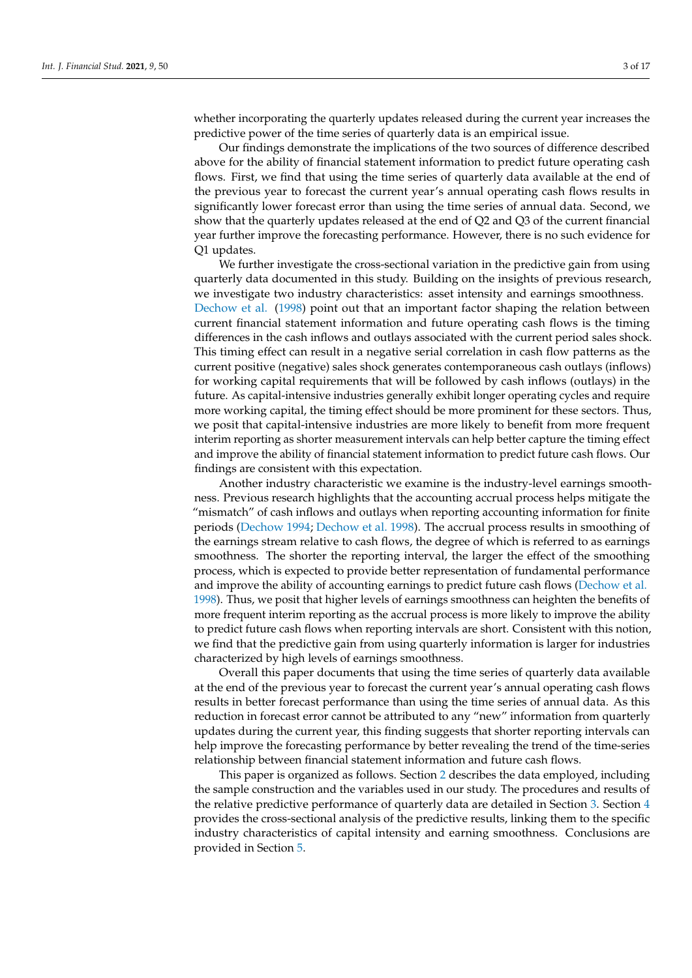whether incorporating the quarterly updates released during the current year increases the predictive power of the time series of quarterly data is an empirical issue.

Our findings demonstrate the implications of the two sources of difference described above for the ability of financial statement information to predict future operating cash flows. First, we find that using the time series of quarterly data available at the end of the previous year to forecast the current year's annual operating cash flows results in significantly lower forecast error than using the time series of annual data. Second, we show that the quarterly updates released at the end of Q2 and Q3 of the current financial year further improve the forecasting performance. However, there is no such evidence for Q1 updates.

We further investigate the cross-sectional variation in the predictive gain from using quarterly data documented in this study. Building on the insights of previous research, we investigate two industry characteristics: asset intensity and earnings smoothness. [Dechow et al.](#page-15-1) [\(1998\)](#page-15-1) point out that an important factor shaping the relation between current financial statement information and future operating cash flows is the timing differences in the cash inflows and outlays associated with the current period sales shock. This timing effect can result in a negative serial correlation in cash flow patterns as the current positive (negative) sales shock generates contemporaneous cash outlays (inflows) for working capital requirements that will be followed by cash inflows (outlays) in the future. As capital-intensive industries generally exhibit longer operating cycles and require more working capital, the timing effect should be more prominent for these sectors. Thus, we posit that capital-intensive industries are more likely to benefit from more frequent interim reporting as shorter measurement intervals can help better capture the timing effect and improve the ability of financial statement information to predict future cash flows. Our findings are consistent with this expectation.

Another industry characteristic we examine is the industry-level earnings smoothness. Previous research highlights that the accounting accrual process helps mitigate the "mismatch" of cash inflows and outlays when reporting accounting information for finite periods [\(Dechow](#page-15-10) [1994;](#page-15-10) [Dechow et al.](#page-15-1) [1998\)](#page-15-1). The accrual process results in smoothing of the earnings stream relative to cash flows, the degree of which is referred to as earnings smoothness. The shorter the reporting interval, the larger the effect of the smoothing process, which is expected to provide better representation of fundamental performance and improve the ability of accounting earnings to predict future cash flows [\(Dechow et al.](#page-15-1) [1998\)](#page-15-1). Thus, we posit that higher levels of earnings smoothness can heighten the benefits of more frequent interim reporting as the accrual process is more likely to improve the ability to predict future cash flows when reporting intervals are short. Consistent with this notion, we find that the predictive gain from using quarterly information is larger for industries characterized by high levels of earnings smoothness.

Overall this paper documents that using the time series of quarterly data available at the end of the previous year to forecast the current year's annual operating cash flows results in better forecast performance than using the time series of annual data. As this reduction in forecast error cannot be attributed to any "new" information from quarterly updates during the current year, this finding suggests that shorter reporting intervals can help improve the forecasting performance by better revealing the trend of the time-series relationship between financial statement information and future cash flows.

This paper is organized as follows. Section [2](#page-3-0) describes the data employed, including the sample construction and the variables used in our study. The procedures and results of the relative predictive performance of quarterly data are detailed in Section [3.](#page-4-0) Section [4](#page-11-0) provides the cross-sectional analysis of the predictive results, linking them to the specific industry characteristics of capital intensity and earning smoothness. Conclusions are provided in Section [5.](#page-14-0)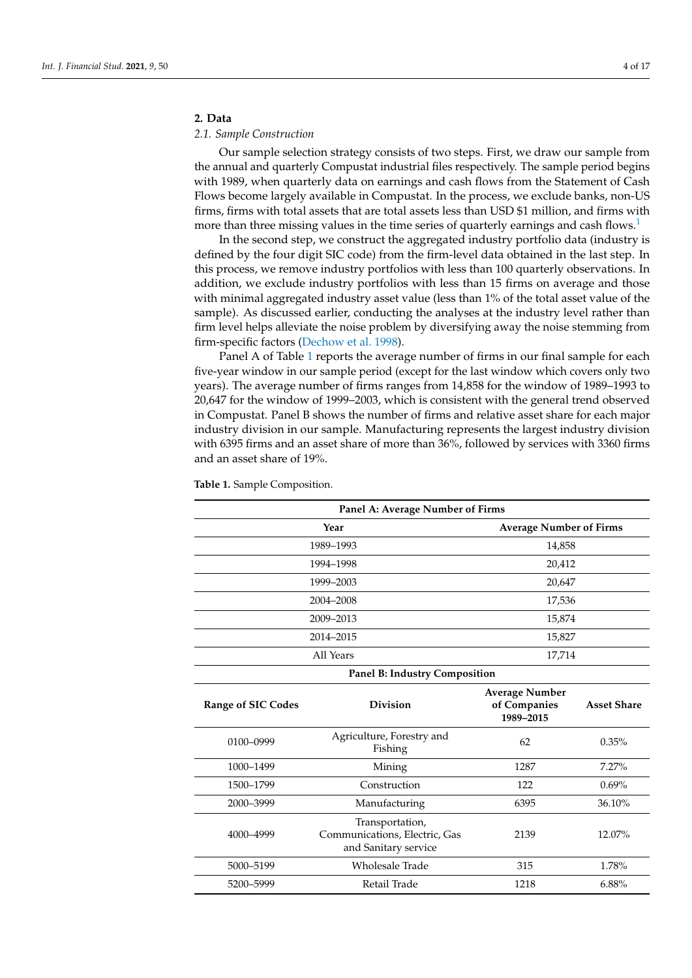# <span id="page-3-0"></span>**2. Data**

# *2.1. Sample Construction*

Our sample selection strategy consists of two steps. First, we draw our sample from the annual and quarterly Compustat industrial files respectively. The sample period begins with 1989, when quarterly data on earnings and cash flows from the Statement of Cash Flows become largely available in Compustat. In the process, we exclude banks, non-US firms, firms with total assets that are total assets less than USD \$1 million, and firms with more than three missing values in the time series of quarterly earnings and cash flows.<sup>[1](#page-15-11)</sup>

<span id="page-3-1"></span>In the second step, we construct the aggregated industry portfolio data (industry is defined by the four digit SIC code) from the firm-level data obtained in the last step. In this process, we remove industry portfolios with less than 100 quarterly observations. In addition, we exclude industry portfolios with less than 15 firms on average and those with minimal aggregated industry asset value (less than 1% of the total asset value of the sample). As discussed earlier, conducting the analyses at the industry level rather than firm level helps alleviate the noise problem by diversifying away the noise stemming from firm-specific factors [\(Dechow et al.](#page-15-1) [1998\)](#page-15-1).

Panel A of Table [1](#page-4-1) reports the average number of firms in our final sample for each five-year window in our sample period (except for the last window which covers only two years). The average number of firms ranges from 14,858 for the window of 1989–1993 to 20,647 for the window of 1999–2003, which is consistent with the general trend observed in Compustat. Panel B shows the number of firms and relative asset share for each major industry division in our sample. Manufacturing represents the largest industry division with 6395 firms and an asset share of more than 36%, followed by services with 3360 firms and an asset share of 19%.

| Panel A: Average Number of Firms                                                              |                                      |                                                    |                    |  |
|-----------------------------------------------------------------------------------------------|--------------------------------------|----------------------------------------------------|--------------------|--|
| <b>Average Number of Firms</b><br>Year                                                        |                                      |                                                    |                    |  |
|                                                                                               | 1989-1993                            | 14,858                                             |                    |  |
| 1994-1998                                                                                     |                                      | 20,412                                             |                    |  |
|                                                                                               | 1999-2003                            | 20,647                                             |                    |  |
|                                                                                               | 2004-2008                            | 17,536                                             |                    |  |
|                                                                                               | 2009-2013                            | 15,874                                             |                    |  |
|                                                                                               | 2014-2015                            | 15,827                                             |                    |  |
|                                                                                               | All Years                            | 17,714                                             |                    |  |
|                                                                                               | Panel B: Industry Composition        |                                                    |                    |  |
| <b>Range of SIC Codes</b>                                                                     | <b>Division</b>                      | <b>Average Number</b><br>of Companies<br>1989-2015 | <b>Asset Share</b> |  |
| 0100-0999                                                                                     | Agriculture, Forestry and<br>Fishing | 62                                                 |                    |  |
| 1000-1499                                                                                     | Mining                               | 1287<br>7.27%                                      |                    |  |
| 1500-1799                                                                                     | Construction<br>122                  |                                                    | $0.69\%$           |  |
| 2000-3999                                                                                     | 6395<br>Manufacturing                |                                                    | 36.10%             |  |
| Transportation,<br>Communications, Electric, Gas<br>4000-4999<br>2139<br>and Sanitary service |                                      |                                                    | 12.07%             |  |
| 5000-5199                                                                                     | <b>Wholesale Trade</b>               | 315                                                | 1.78%              |  |
| 5200-5999                                                                                     | Retail Trade                         | 1218                                               | $6.88\%$           |  |

**Table 1.** Sample Composition.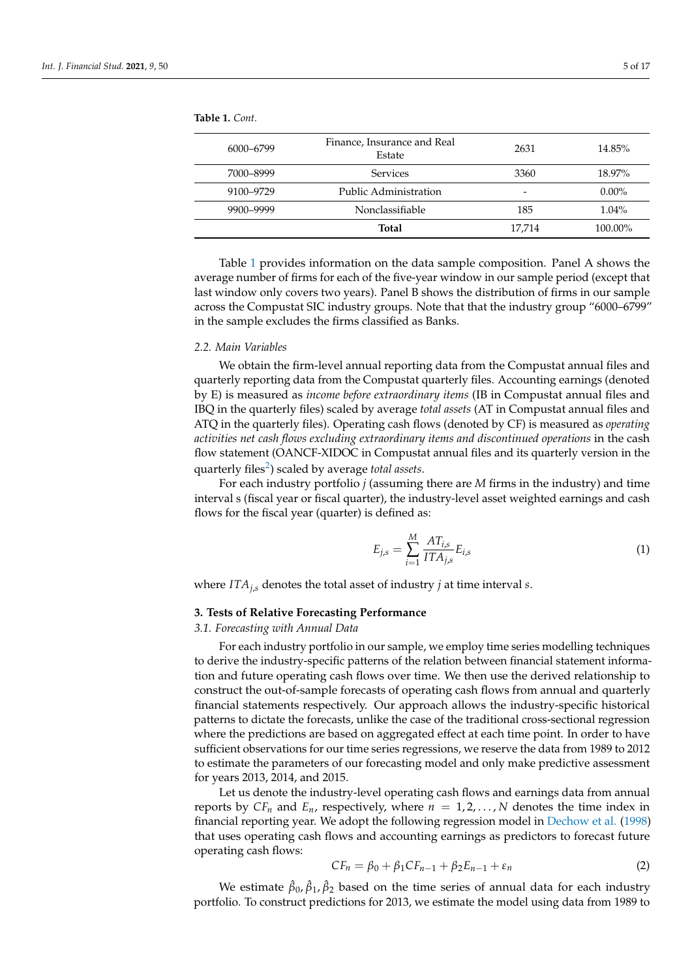| 6000-6799 | Finance, Insurance and Real<br>Estate | 2631   | 14.85%   |
|-----------|---------------------------------------|--------|----------|
| 7000-8999 | <b>Services</b>                       | 3360   | 18.97%   |
| 9100-9729 | Public Administration                 | -      | $0.00\%$ |
| 9900-9999 | Nonclassifiable                       | 185    | $1.04\%$ |
|           | Total                                 | 17,714 | 100.00%  |

<span id="page-4-1"></span>**Table 1.** *Cont.*

Table [1](#page-4-1) provides information on the data sample composition. Panel A shows the average number of firms for each of the five-year window in our sample period (except that last window only covers two years). Panel B shows the distribution of firms in our sample across the Compustat SIC industry groups. Note that that the industry group "6000–6799" in the sample excludes the firms classified as Banks.

#### *2.2. Main Variables*

We obtain the firm-level annual reporting data from the Compustat annual files and quarterly reporting data from the Compustat quarterly files. Accounting earnings (denoted by E) is measured as *income before extraordinary items* (IB in Compustat annual files and IBQ in the quarterly files) scaled by average *total assets* (AT in Compustat annual files and ATQ in the quarterly files). Operating cash flows (denoted by CF) is measured as *operating activities net cash flows excluding extraordinary items and discontinued operations* in the cash flow statement (OANCF-XIDOC in Compustat annual files and its quarterly version in the quarterly files<sup>[2](#page-15-12)</sup>) scaled by average *total assets*.

<span id="page-4-3"></span>For each industry portfolio *j* (assuming there are *M* firms in the industry) and time interval s (fiscal year or fiscal quarter), the industry-level asset weighted earnings and cash flows for the fiscal year (quarter) is defined as:

$$
E_{j,s} = \sum_{i=1}^{M} \frac{AT_{i,s}}{ITA_{j,s}} E_{i,s}
$$
 (1)

where *ITAj*,*<sup>s</sup>* denotes the total asset of industry *j* at time interval *s*.

### <span id="page-4-0"></span>**3. Tests of Relative Forecasting Performance**

<span id="page-4-2"></span>*3.1. Forecasting with Annual Data*

For each industry portfolio in our sample, we employ time series modelling techniques to derive the industry-specific patterns of the relation between financial statement information and future operating cash flows over time. We then use the derived relationship to construct the out-of-sample forecasts of operating cash flows from annual and quarterly financial statements respectively. Our approach allows the industry-specific historical patterns to dictate the forecasts, unlike the case of the traditional cross-sectional regression where the predictions are based on aggregated effect at each time point. In order to have sufficient observations for our time series regressions, we reserve the data from 1989 to 2012 to estimate the parameters of our forecasting model and only make predictive assessment for years 2013, 2014, and 2015.

Let us denote the industry-level operating cash flows and earnings data from annual reports by  $CF_n$  and  $E_n$ , respectively, where  $n = 1, 2, \ldots, N$  denotes the time index in financial reporting year. We adopt the following regression model in [Dechow et al.](#page-15-1) [\(1998\)](#page-15-1) that uses operating cash flows and accounting earnings as predictors to forecast future operating cash flows:

$$
CF_n = \beta_0 + \beta_1 CF_{n-1} + \beta_2 E_{n-1} + \varepsilon_n \tag{2}
$$

We estimate  $\hat{\beta}_0$ ,  $\hat{\beta}_1$ ,  $\hat{\beta}_2$  based on the time series of annual data for each industry portfolio. To construct predictions for 2013, we estimate the model using data from 1989 to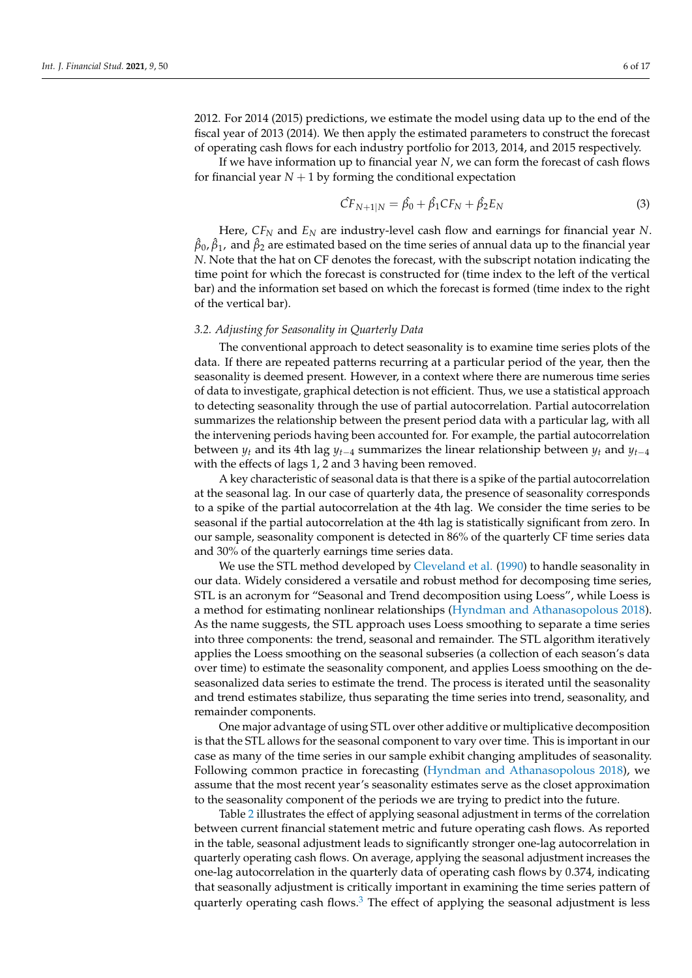2012. For 2014 (2015) predictions, we estimate the model using data up to the end of the fiscal year of 2013 (2014). We then apply the estimated parameters to construct the forecast of operating cash flows for each industry portfolio for 2013, 2014, and 2015 respectively.

If we have information up to financial year *N*, we can form the forecast of cash flows for financial year  $N + 1$  by forming the conditional expectation

$$
\hat{CF}_{N+1|N} = \hat{\beta_0} + \hat{\beta_1} CF_N + \hat{\beta_2} E_N
$$
 (3)

Here, *CF<sup>N</sup>* and *E<sup>N</sup>* are industry-level cash flow and earnings for financial year *N*.  $\hat\beta_0$ ,  $\hat\beta_1$ , and  $\hat\beta_2$  are estimated based on the time series of annual data up to the financial year *N*. Note that the hat on CF denotes the forecast, with the subscript notation indicating the time point for which the forecast is constructed for (time index to the left of the vertical bar) and the information set based on which the forecast is formed (time index to the right of the vertical bar).

# *3.2. Adjusting for Seasonality in Quarterly Data*

The conventional approach to detect seasonality is to examine time series plots of the data. If there are repeated patterns recurring at a particular period of the year, then the seasonality is deemed present. However, in a context where there are numerous time series of data to investigate, graphical detection is not efficient. Thus, we use a statistical approach to detecting seasonality through the use of partial autocorrelation. Partial autocorrelation summarizes the relationship between the present period data with a particular lag, with all the intervening periods having been accounted for. For example, the partial autocorrelation between  $y_t$  and its 4th lag  $y_{t-4}$  summarizes the linear relationship between  $y_t$  and  $y_{t-4}$ with the effects of lags 1, 2 and 3 having been removed.

A key characteristic of seasonal data is that there is a spike of the partial autocorrelation at the seasonal lag. In our case of quarterly data, the presence of seasonality corresponds to a spike of the partial autocorrelation at the 4th lag. We consider the time series to be seasonal if the partial autocorrelation at the 4th lag is statistically significant from zero. In our sample, seasonality component is detected in 86% of the quarterly CF time series data and 30% of the quarterly earnings time series data.

We use the STL method developed by [Cleveland et al.](#page-15-9) [\(1990\)](#page-15-9) to handle seasonality in our data. Widely considered a versatile and robust method for decomposing time series, STL is an acronym for "Seasonal and Trend decomposition using Loess", while Loess is a method for estimating nonlinear relationships [\(Hyndman and Athanasopolous](#page-16-8) [2018\)](#page-16-8). As the name suggests, the STL approach uses Loess smoothing to separate a time series into three components: the trend, seasonal and remainder. The STL algorithm iteratively applies the Loess smoothing on the seasonal subseries (a collection of each season's data over time) to estimate the seasonality component, and applies Loess smoothing on the deseasonalized data series to estimate the trend. The process is iterated until the seasonality and trend estimates stabilize, thus separating the time series into trend, seasonality, and remainder components.

One major advantage of using STL over other additive or multiplicative decomposition is that the STL allows for the seasonal component to vary over time. This is important in our case as many of the time series in our sample exhibit changing amplitudes of seasonality. Following common practice in forecasting [\(Hyndman and Athanasopolous](#page-16-8) [2018\)](#page-16-8), we assume that the most recent year's seasonality estimates serve as the closet approximation to the seasonality component of the periods we are trying to predict into the future.

<span id="page-5-0"></span>Table [2](#page-6-0) illustrates the effect of applying seasonal adjustment in terms of the correlation between current financial statement metric and future operating cash flows. As reported in the table, seasonal adjustment leads to significantly stronger one-lag autocorrelation in quarterly operating cash flows. On average, applying the seasonal adjustment increases the one-lag autocorrelation in the quarterly data of operating cash flows by 0.374, indicating that seasonally adjustment is critically important in examining the time series pattern of quarterly operating cash flows. $3$  The effect of applying the seasonal adjustment is less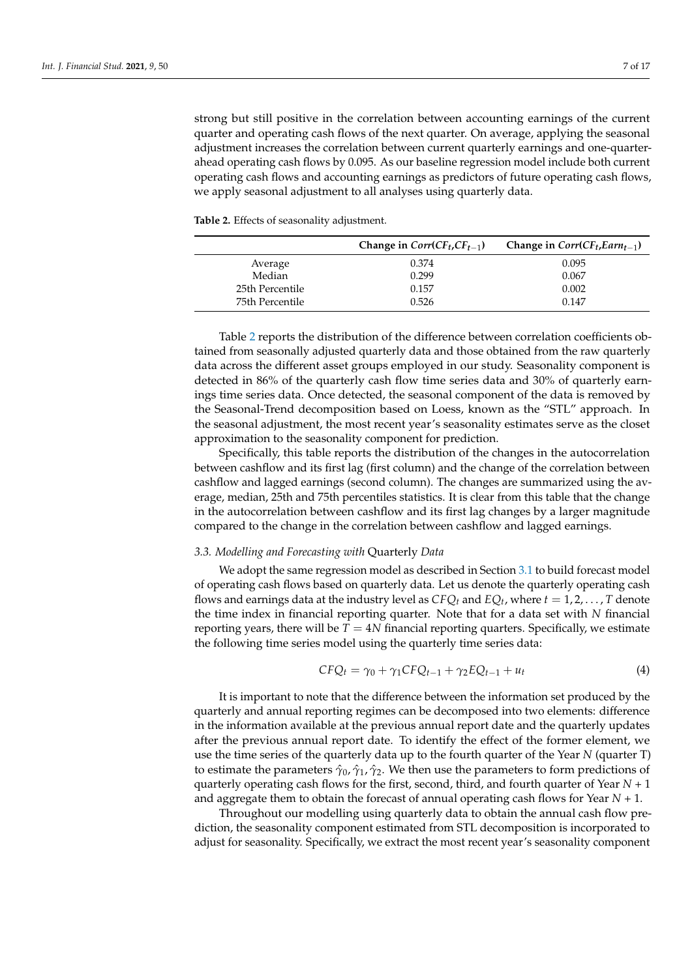strong but still positive in the correlation between accounting earnings of the current quarter and operating cash flows of the next quarter. On average, applying the seasonal adjustment increases the correlation between current quarterly earnings and one-quarterahead operating cash flows by 0.095. As our baseline regression model include both current operating cash flows and accounting earnings as predictors of future operating cash flows, we apply seasonal adjustment to all analyses using quarterly data.

<span id="page-6-0"></span>**Table 2.** Effects of seasonality adjustment.

|                 | Change in $Corr(CF_t, CF_{t-1})$ | Change in $Corr(CF_t, Earm_{t-1})$ |
|-----------------|----------------------------------|------------------------------------|
| Average         | 0.374                            | 0.095                              |
| Median          | 0.299                            | 0.067                              |
| 25th Percentile | 0.157                            | 0.002                              |
| 75th Percentile | 0.526                            | 0.147                              |

Table [2](#page-6-0) reports the distribution of the difference between correlation coefficients obtained from seasonally adjusted quarterly data and those obtained from the raw quarterly data across the different asset groups employed in our study. Seasonality component is detected in 86% of the quarterly cash flow time series data and 30% of quarterly earnings time series data. Once detected, the seasonal component of the data is removed by the Seasonal-Trend decomposition based on Loess, known as the "STL" approach. In the seasonal adjustment, the most recent year's seasonality estimates serve as the closet approximation to the seasonality component for prediction.

Specifically, this table reports the distribution of the changes in the autocorrelation between cashflow and its first lag (first column) and the change of the correlation between cashflow and lagged earnings (second column). The changes are summarized using the average, median, 25th and 75th percentiles statistics. It is clear from this table that the change in the autocorrelation between cashflow and its first lag changes by a larger magnitude compared to the change in the correlation between cashflow and lagged earnings.

#### <span id="page-6-1"></span>*3.3. Modelling and Forecasting with* Quarterly *Data*

We adopt the same regression model as described in Section [3.1](#page-4-2) to build forecast model of operating cash flows based on quarterly data. Let us denote the quarterly operating cash flows and earnings data at the industry level as  $CFQ_t$  and  $EQ_t$ , where  $t = 1, 2, ..., T$  denote the time index in financial reporting quarter. Note that for a data set with *N* financial reporting years, there will be  $T = 4N$  financial reporting quarters. Specifically, we estimate the following time series model using the quarterly time series data:

$$
CFQ_t = \gamma_0 + \gamma_1 CFQ_{t-1} + \gamma_2 EQ_{t-1} + u_t \tag{4}
$$

It is important to note that the difference between the information set produced by the quarterly and annual reporting regimes can be decomposed into two elements: difference in the information available at the previous annual report date and the quarterly updates after the previous annual report date. To identify the effect of the former element, we use the time series of the quarterly data up to the fourth quarter of the Year *N* (quarter T) to estimate the parameters  $\hat{\gamma}_0$ ,  $\hat{\gamma}_1$ ,  $\hat{\gamma}_2$ . We then use the parameters to form predictions of quarterly operating cash flows for the first, second, third, and fourth quarter of Year *N* + 1 and aggregate them to obtain the forecast of annual operating cash flows for Year *N* + 1.

Throughout our modelling using quarterly data to obtain the annual cash flow prediction, the seasonality component estimated from STL decomposition is incorporated to adjust for seasonality. Specifically, we extract the most recent year's seasonality component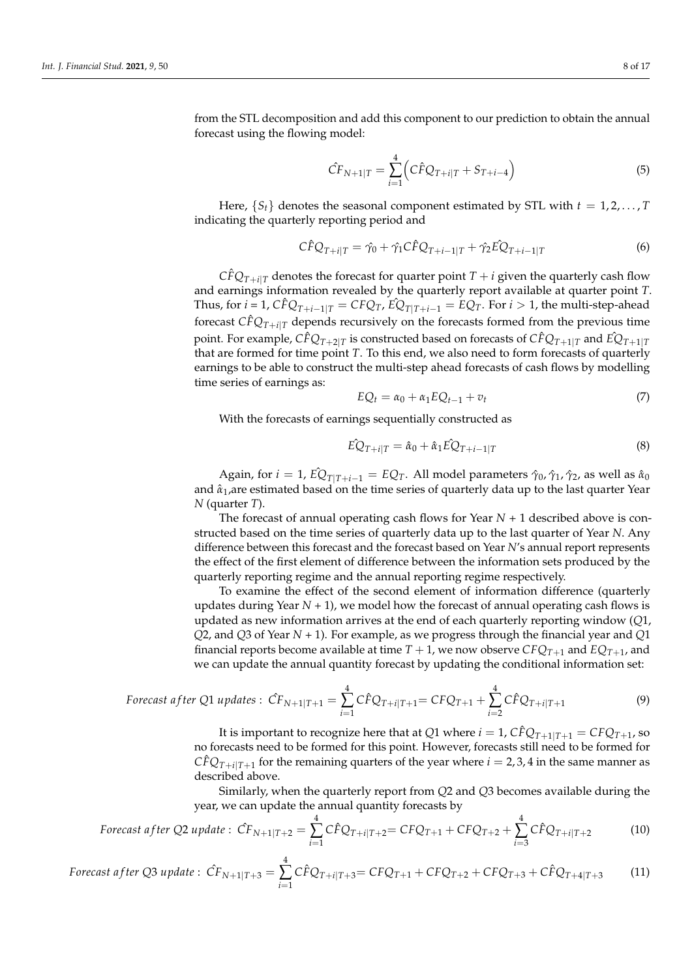from the STL decomposition and add this component to our prediction to obtain the annual forecast using the flowing model:

$$
\hat{CF}_{N+1|T} = \sum_{i=1}^{4} \left( C\hat{F}Q_{T+i|T} + S_{T+i-4} \right)
$$
\n(5)

Here,  $\{S_t\}$  denotes the seasonal component estimated by STL with  $t = 1, 2, \ldots, T$ indicating the quarterly reporting period and

$$
\hat{C}FQ_{T+i|T} = \hat{\gamma}_0 + \hat{\gamma}_1 \hat{C}FQ_{T+i-1|T} + \hat{\gamma}_2 \hat{E}Q_{T+i-1|T}
$$
\n(6)

 $C \hat{F} Q_{T+i|T}$  denotes the forecast for quarter point  $T+i$  given the quarterly cash flow and earnings information revealed by the quarterly report available at quarter point *T*. Thus, for  $i = 1$ ,  $C \hat{F} Q_{T+i-1|T} = C F Q_T$ ,  $\hat{E} Q_{T|T+i-1} = E Q_T$ . For  $i > 1$ , the multi-step-ahead forecast  $\hat{CFQ}_{T+i|T}$  depends recursively on the forecasts formed from the previous time point. For example,  $C \hat F Q_{T+2|T}$  is constructed based on forecasts of  $C \hat F Q_{T+1|T}$  and  $\hat E Q_{T+1|T}$ that are formed for time point *T*. To this end, we also need to form forecasts of quarterly earnings to be able to construct the multi-step ahead forecasts of cash flows by modelling time series of earnings as:

$$
EQ_t = \alpha_0 + \alpha_1 E Q_{t-1} + v_t \tag{7}
$$

With the forecasts of earnings sequentially constructed as

$$
\hat{EQ}_{T+i|T} = \hat{\alpha}_0 + \hat{\alpha}_1 \hat{EQ}_{T+i-1|T}
$$
\n(8)

Again, for  $i = 1$ ,  $\hat{EQ}_{T|T+i-1} = EQ_T$ . All model parameters  $\hat{\gamma}_0$ ,  $\hat{\gamma}_1$ ,  $\hat{\gamma}_2$ , as well as  $\hat{\alpha}_0$ and  $\hat{\alpha}_1$ , are estimated based on the time series of quarterly data up to the last quarter Year *N* (quarter *T*).

The forecast of annual operating cash flows for Year  $N + 1$  described above is constructed based on the time series of quarterly data up to the last quarter of Year *N*. Any difference between this forecast and the forecast based on Year *N*'s annual report represents the effect of the first element of difference between the information sets produced by the quarterly reporting regime and the annual reporting regime respectively.

To examine the effect of the second element of information difference (quarterly updates during Year  $N + 1$ ), we model how the forecast of annual operating cash flows is updated as new information arrives at the end of each quarterly reporting window (*Q*1, *Q*2, and *Q*3 of Year *N* + 1). For example, as we progress through the financial year and *Q*1 financial reports become available at time  $T + 1$ , we now observe  $CFC_{T+1}$  and  $EQ_{T+1}$ , and we can update the annual quantity forecast by updating the conditional information set:

$$
Forecast after Q1 updates: \hat{CF}_{N+1|T+1} = \sum_{i=1}^{4} \hat{CFQ}_{T+i|T+1} = \hat{CFQ}_{T+1} + \sum_{i=2}^{4} \hat{CFQ}_{T+i|T+1}
$$
(9)

It is important to recognize here that at *Q*1 where  $i = 1$ ,  $\hat{CFQ}_{T+1|T+1} = \hat{CFQ}_{T+1}$ , so no forecasts need to be formed for this point. However, forecasts still need to be formed for  $C \hat{F} Q_{T+i|T+1}$  for the remaining quarters of the year where  $i = 2, 3, 4$  in the same manner as described above.

Similarly, when the quarterly report from *Q*2 and *Q*3 becomes available during the year, we can update the annual quantity forecasts by

$$
Forecast after Q2 update: \hat{CF}_{N+1|T+2} = \sum_{i=1}^{4} \hat{CFQ}_{T+i|T+2} = \hat{CFQ}_{T+1} + \hat{CFQ}_{T+2} + \sum_{i=3}^{4} \hat{CFQ}_{T+i|T+2}
$$
(10)

$$
For each after Q3 update: \ \hat{CF}_{N+1|T+3} = \sum_{i=1}^{4} \hat{CFQ}_{T+i|T+3} = \hat{CFQ}_{T+1} + \hat{CFQ}_{T+2} + \hat{CFQ}_{T+3} + \hat{CFQ}_{T+4|T+3} \tag{11}
$$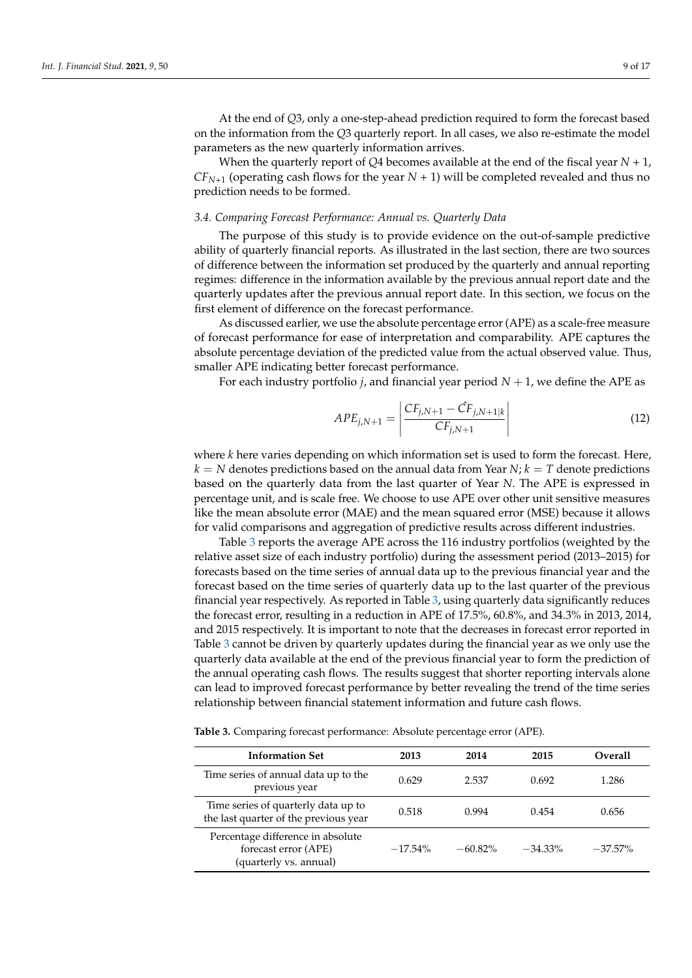At the end of *Q*3, only a one-step-ahead prediction required to form the forecast based on the information from the *Q*3 quarterly report. In all cases, we also re-estimate the model parameters as the new quarterly information arrives.

When the quarterly report of *Q*4 becomes available at the end of the fiscal year *N* + 1,  $CF_{N+1}$  (operating cash flows for the year  $N + 1$ ) will be completed revealed and thus no prediction needs to be formed.

#### *3.4. Comparing Forecast Performance: Annual vs. Quarterly Data*

The purpose of this study is to provide evidence on the out-of-sample predictive ability of quarterly financial reports. As illustrated in the last section, there are two sources of difference between the information set produced by the quarterly and annual reporting regimes: difference in the information available by the previous annual report date and the quarterly updates after the previous annual report date. In this section, we focus on the first element of difference on the forecast performance.

As discussed earlier, we use the absolute percentage error (APE) as a scale-free measure of forecast performance for ease of interpretation and comparability. APE captures the absolute percentage deviation of the predicted value from the actual observed value. Thus, smaller APE indicating better forecast performance.

For each industry portfolio  $j$ , and financial year period  $N + 1$ , we define the APE as

$$
APE_{j,N+1} = \left| \frac{CF_{j,N+1} - \hat{CF}_{j,N+1|k}}{CF_{j,N+1}} \right| \tag{12}
$$

where *k* here varies depending on which information set is used to form the forecast. Here,  $k = N$  denotes predictions based on the annual data from Year  $N$ ;  $k = T$  denote predictions based on the quarterly data from the last quarter of Year *N*. The APE is expressed in percentage unit, and is scale free. We choose to use APE over other unit sensitive measures like the mean absolute error (MAE) and the mean squared error (MSE) because it allows for valid comparisons and aggregation of predictive results across different industries.

Table [3](#page-8-0) reports the average APE across the 116 industry portfolios (weighted by the relative asset size of each industry portfolio) during the assessment period (2013–2015) for forecasts based on the time series of annual data up to the previous financial year and the forecast based on the time series of quarterly data up to the last quarter of the previous financial year respectively. As reported in Table [3,](#page-8-0) using quarterly data significantly reduces the forecast error, resulting in a reduction in APE of 17.5%, 60.8%, and 34.3% in 2013, 2014, and 2015 respectively. It is important to note that the decreases in forecast error reported in Table [3](#page-8-0) cannot be driven by quarterly updates during the financial year as we only use the quarterly data available at the end of the previous financial year to form the prediction of the annual operating cash flows. The results suggest that shorter reporting intervals alone can lead to improved forecast performance by better revealing the trend of the time series relationship between financial statement information and future cash flows.

<span id="page-8-0"></span>**Table 3.** Comparing forecast performance: Absolute percentage error (APE).

| <b>Information Set</b>                                                              | 2013       | 2014       | 2015       | Overall    |
|-------------------------------------------------------------------------------------|------------|------------|------------|------------|
| Time series of annual data up to the<br>previous year                               | 0.629      | 2.537      | 0.692      | 1.286      |
| Time series of quarterly data up to<br>the last quarter of the previous year        | 0.518      | 0.994      | 0.454      | 0.656      |
| Percentage difference in absolute<br>forecast error (APE)<br>(quarterly vs. annual) | $-17.54\%$ | $-60.82\%$ | $-34.33\%$ | $-37.57\%$ |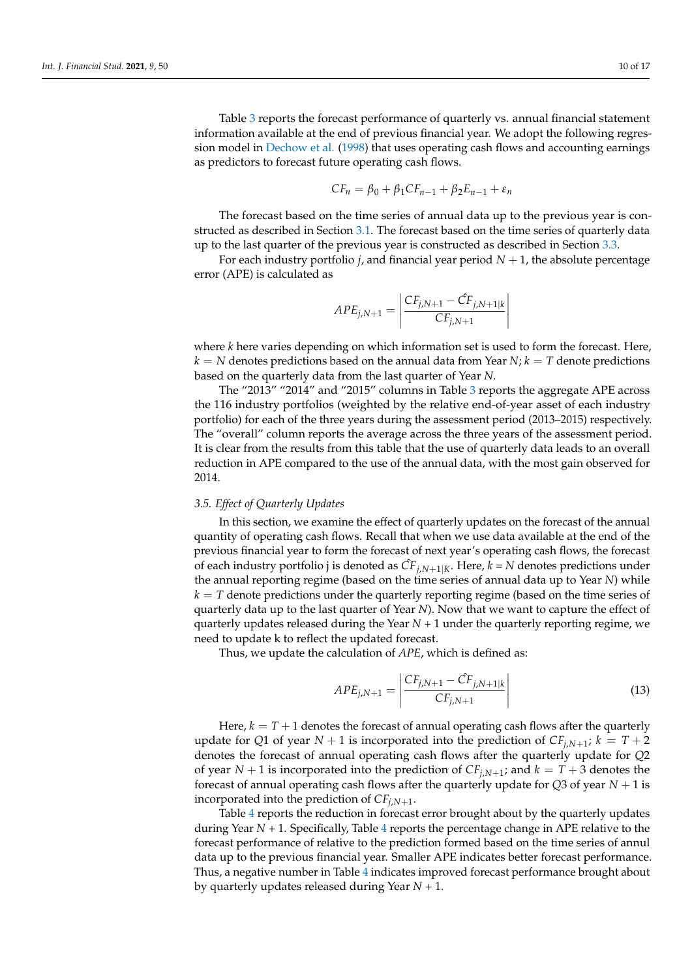Table [3](#page-8-0) reports the forecast performance of quarterly vs. annual financial statement information available at the end of previous financial year. We adopt the following regression model in [Dechow et al.](#page-15-1) [\(1998\)](#page-15-1) that uses operating cash flows and accounting earnings as predictors to forecast future operating cash flows.

$$
CF_n = \beta_0 + \beta_1 CF_{n-1} + \beta_2 E_{n-1} + \varepsilon_n
$$

The forecast based on the time series of annual data up to the previous year is constructed as described in Section [3.1.](#page-4-2) The forecast based on the time series of quarterly data up to the last quarter of the previous year is constructed as described in Section [3.3.](#page-6-1)

For each industry portfolio *j*, and financial year period  $N + 1$ , the absolute percentage error (APE) is calculated as

$$
APE_{j,N+1} = \left| \frac{CF_{j,N+1} - \hat{CF}_{j,N+1|k}}{CF_{j,N+1}} \right|
$$

where *k* here varies depending on which information set is used to form the forecast. Here,  $k = N$  denotes predictions based on the annual data from Year  $N$ ;  $k = T$  denote predictions based on the quarterly data from the last quarter of Year *N*.

The "2013" "2014" and "2015" columns in Table [3](#page-8-0) reports the aggregate APE across the 116 industry portfolios (weighted by the relative end-of-year asset of each industry portfolio) for each of the three years during the assessment period (2013–2015) respectively. The "overall" column reports the average across the three years of the assessment period. It is clear from the results from this table that the use of quarterly data leads to an overall reduction in APE compared to the use of the annual data, with the most gain observed for 2014.

#### *3.5. Effect of Quarterly Updates*

In this section, we examine the effect of quarterly updates on the forecast of the annual quantity of operating cash flows. Recall that when we use data available at the end of the previous financial year to form the forecast of next year's operating cash flows, the forecast of each industry portfolio j is denoted as *CF*ˆ *<sup>j</sup>*,*N*+1|*K*. Here, *k* = *N* denotes predictions under the annual reporting regime (based on the time series of annual data up to Year *N*) while *k* = *T* denote predictions under the quarterly reporting regime (based on the time series of quarterly data up to the last quarter of Year *N*). Now that we want to capture the effect of quarterly updates released during the Year  $N + 1$  under the quarterly reporting regime, we need to update k to reflect the updated forecast.

Thus, we update the calculation of *APE*, which is defined as:

$$
APE_{j,N+1} = \left| \frac{CF_{j,N+1} - \hat{CF}_{j,N+1|k}}{CF_{j,N+1}} \right|
$$
\n(13)

Here,  $k = T + 1$  denotes the forecast of annual operating cash flows after the quarterly update for Q1 of year  $N + 1$  is incorporated into the prediction of  $CF_{j,N+1}$ ;  $k = T + 2$ denotes the forecast of annual operating cash flows after the quarterly update for *Q*2 of year  $N + 1$  is incorporated into the prediction of  $CF_{j,N+1}$ ; and  $k = T + 3$  denotes the forecast of annual operating cash flows after the quarterly update for  $Q3$  of year  $N+1$  is incorporated into the prediction of *CFj*,*N*+<sup>1</sup> .

Table [4](#page-10-0) reports the reduction in forecast error brought about by the quarterly updates during Year *N* + 1. Specifically, Table [4](#page-10-0) reports the percentage change in APE relative to the forecast performance of relative to the prediction formed based on the time series of annul data up to the previous financial year. Smaller APE indicates better forecast performance. Thus, a negative number in Table [4](#page-10-0) indicates improved forecast performance brought about by quarterly updates released during Year *N* + 1.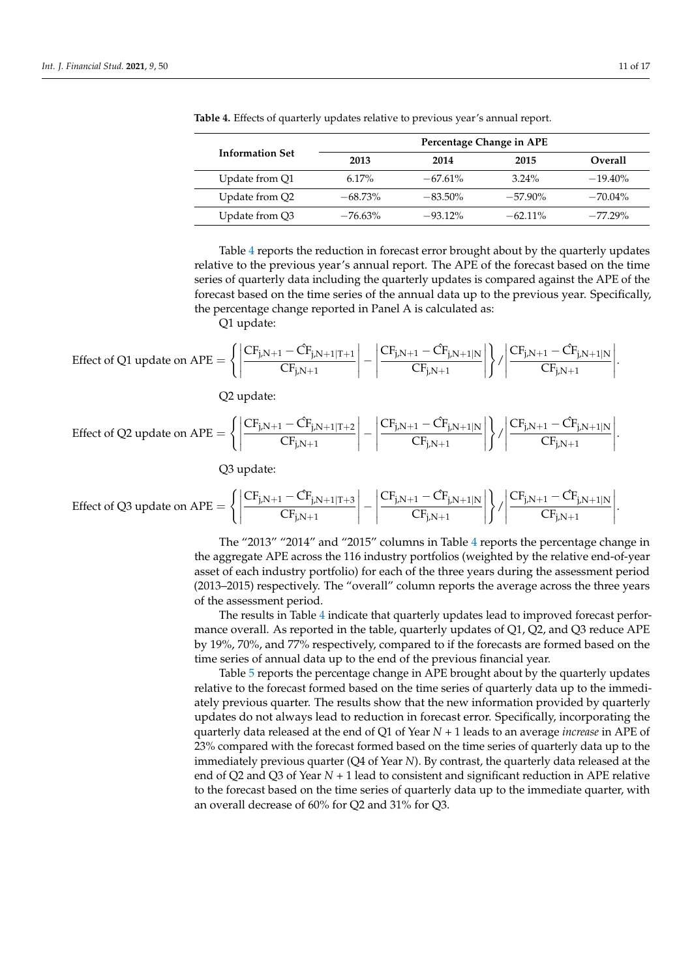|                        |            |            | Percentage Change in APE |            |
|------------------------|------------|------------|--------------------------|------------|
| <b>Information Set</b> | 2013       | 2014       | 2015                     | Overall    |
| Update from Q1         | $6.17\%$   | $-67.61\%$ | $3.24\%$                 | $-19.40\%$ |
| Update from Q2         | $-68.73\%$ | $-83.50\%$ | $-57.90\%$               | $-70.04\%$ |
| Update from Q3         | $-76.63\%$ | $-93.12\%$ | $-62.11\%$               | $-77.29\%$ |

<span id="page-10-0"></span>**Table 4.** Effects of quarterly updates relative to previous year's annual report.

Table [4](#page-10-0) reports the reduction in forecast error brought about by the quarterly updates relative to the previous year's annual report. The APE of the forecast based on the time series of quarterly data including the quarterly updates is compared against the APE of the forecast based on the time series of the annual data up to the previous year. Specifically, the percentage change reported in Panel A is calculated as:

Q1 update:

$$
\text{Effect of Q1 update on APE} = \left\{\left|\frac{CF_{j,N+1} - \hat{CF}_{j,N+1|T+1}}{CF_{j,N+1}}\right| - \left|\frac{CF_{j,N+1} - \hat{CF}_{j,N+1|N}}{CF_{j,N+1}}\right|\right\} / \left|\frac{CF_{j,N+1} - \hat{CF}_{j,N+1|N}}{CF_{j,N+1}}\right|
$$

Q2 update:

$$
\text{Effect of Q2 update on APE} = \left\{\left|\frac{C F_{j,N+1}-\hat{C}F_{j,N+1|T+2}}{C F_{j,N+1}}\right|-\left|\frac{C F_{j,N+1}-\hat{C}F_{j,N+1|N}}{C F_{j,N+1}}\right|\right\}/\left|\frac{C F_{j,N+1}-\hat{C}F_{j,N+1|N}}{C F_{j,N+1}}\right|
$$

Q3 update:

$$
\text{Effect of Q3 update on APE} = \left\{\left|\frac{CF_{j,N+1} - \hat{CF}_{j,N+1|T+3}}{CF_{j,N+1}}\right| - \left|\frac{CF_{j,N+1} - \hat{CF}_{j,N+1|N}}{CF_{j,N+1}}\right|\right\} / \left|\frac{CF_{j,N+1} - \hat{CF}_{j,N+1|N}}{CF_{j,N+1}}\right|
$$

The "2013" "2014" and "2015" columns in Table [4](#page-10-0) reports the percentage change in the aggregate APE across the 116 industry portfolios (weighted by the relative end-of-year asset of each industry portfolio) for each of the three years during the assessment period (2013–2015) respectively. The "overall" column reports the average across the three years of the assessment period.

The results in Table [4](#page-10-0) indicate that quarterly updates lead to improved forecast performance overall. As reported in the table, quarterly updates of Q1, Q2, and Q3 reduce APE by 19%, 70%, and 77% respectively, compared to if the forecasts are formed based on the time series of annual data up to the end of the previous financial year.

Table [5](#page-11-1) reports the percentage change in APE brought about by the quarterly updates relative to the forecast formed based on the time series of quarterly data up to the immediately previous quarter. The results show that the new information provided by quarterly updates do not always lead to reduction in forecast error. Specifically, incorporating the quarterly data released at the end of Q1 of Year *N* + 1 leads to an average *increase* in APE of 23% compared with the forecast formed based on the time series of quarterly data up to the immediately previous quarter (Q4 of Year *N*). By contrast, the quarterly data released at the end of Q2 and Q3 of Year *N* + 1 lead to consistent and significant reduction in APE relative to the forecast based on the time series of quarterly data up to the immediate quarter, with an overall decrease of 60% for Q2 and 31% for Q3.

.

.

.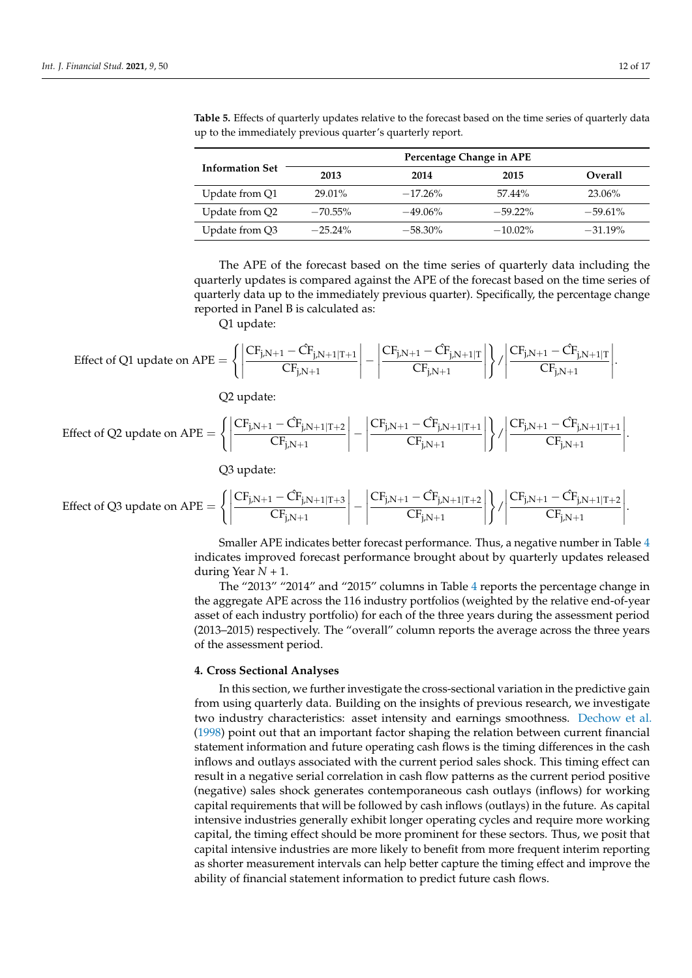| <b>Information Set</b> | Percentage Change in APE |            |            |            |
|------------------------|--------------------------|------------|------------|------------|
|                        | 2013                     | 2014       | 2015       | Overall    |
| Update from Q1         | 29.01%                   | $-17.26\%$ | $57.44\%$  | 23.06%     |
| Update from Q2         | $-70.55\%$               | $-49.06\%$ | $-59.22\%$ | $-59.61\%$ |
| Update from Q3         | $-25.24\%$               | $-58.30\%$ | $-10.02\%$ | $-31.19\%$ |

<span id="page-11-1"></span>**Table 5.** Effects of quarterly updates relative to the forecast based on the time series of quarterly data up to the immediately previous quarter's quarterly report.

The APE of the forecast based on the time series of quarterly data including the quarterly updates is compared against the APE of the forecast based on the time series of quarterly data up to the immediately previous quarter). Specifically, the percentage change reported in Panel B is calculated as:

Q1 update:

$$
\text{Effect of Q1 update on } APE = \Bigg\{\Bigg|\frac{CF_{j,N+1}-\hat{C}F_{j,N+1|T+1}}{CF_{j,N+1}}\Bigg|-\Bigg|\frac{CF_{j,N+1}-\hat{C}F_{j,N+1|T}}{CF_{j,N+1}}\Bigg|\Bigg\}/\Bigg|\frac{CF_{j,N+1}-\hat{C}F_{j,N+1|T}}{CF_{j,N+1}}\Bigg|.
$$

Q2 update:

$$
\text{Effect of Q2 update on APE} = \Bigg\{ \Bigg| \frac{C F_{j,N+1} - \hat{C} F_{j,N+1|T+2} }{C F_{j,N+1} } \Bigg| - \Bigg| \frac{C F_{j,N+1} - \hat{C} F_{j,N+1|T+1} }{C F_{j,N+1} } \Bigg| \Bigg\} / \Bigg| \frac{C F_{j,N+1} - \hat{C} F_{j,N+1|T+1} }{C F_{j,N+1} } \Bigg|.
$$

Q3 update:

$$
\text{Effect of Q3 update on APE} = \Bigg\{ \Bigg| \frac{C F_{j,N+1} - \hat{C} F_{j,N+1|T+3} }{C F_{j,N+1} } \Bigg| - \Bigg| \frac{C F_{j,N+1} - \hat{C} F_{j,N+1|T+2} }{C F_{j,N+1} } \Bigg| \Bigg\} / \Bigg| \frac{C F_{j,N+1} - \hat{C} F_{j,N+1|T+2} }{C F_{j,N+1} } \Bigg|.
$$

Smaller APE indicates better forecast performance. Thus, a negative number in Table [4](#page-10-0) indicates improved forecast performance brought about by quarterly updates released during Year  $N + 1$ .

The "2013" "2014" and "2015" columns in Table [4](#page-10-0) reports the percentage change in the aggregate APE across the 116 industry portfolios (weighted by the relative end-of-year asset of each industry portfolio) for each of the three years during the assessment period (2013–2015) respectively. The "overall" column reports the average across the three years of the assessment period.

#### <span id="page-11-0"></span>**4. Cross Sectional Analyses**

In this section, we further investigate the cross-sectional variation in the predictive gain from using quarterly data. Building on the insights of previous research, we investigate two industry characteristics: asset intensity and earnings smoothness. [Dechow et al.](#page-15-1) [\(1998\)](#page-15-1) point out that an important factor shaping the relation between current financial statement information and future operating cash flows is the timing differences in the cash inflows and outlays associated with the current period sales shock. This timing effect can result in a negative serial correlation in cash flow patterns as the current period positive (negative) sales shock generates contemporaneous cash outlays (inflows) for working capital requirements that will be followed by cash inflows (outlays) in the future. As capital intensive industries generally exhibit longer operating cycles and require more working capital, the timing effect should be more prominent for these sectors. Thus, we posit that capital intensive industries are more likely to benefit from more frequent interim reporting as shorter measurement intervals can help better capture the timing effect and improve the ability of financial statement information to predict future cash flows.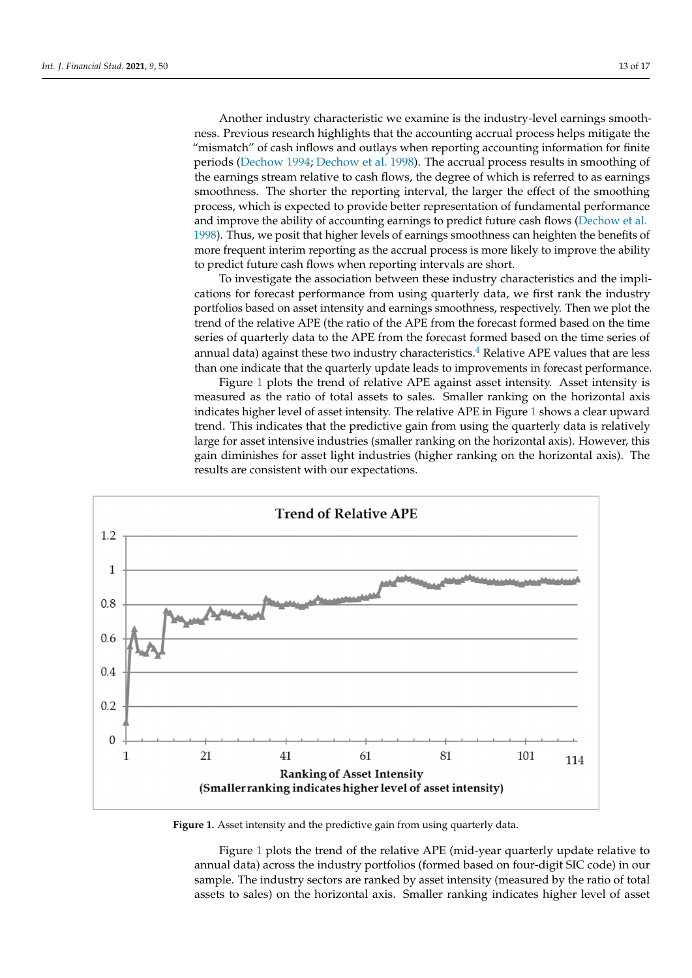Another industry characteristic we examine is the industry-level earnings smoothness. Previous research highlights that the accounting accrual process helps mitigate the "mismatch" of cash inflows and outlays when reporting accounting information for finite periods [\(Dechow](#page-15-10) [1994;](#page-15-10) [Dechow et al.](#page-15-1) [1998\)](#page-15-1). The accrual process results in smoothing of the earnings stream relative to cash flows, the degree of which is referred to as earnings smoothness. The shorter the reporting interval, the larger the effect of the smoothing process, which is expected to provide better representation of fundamental performance and improve the ability of accounting earnings to predict future cash flows [\(Dechow et al.](#page-15-1) [1998\)](#page-15-1). Thus, we posit that higher levels of earnings smoothness can heighten the benefits of more frequent interim reporting as the accrual process is more likely to improve the ability to predict future cash flows when reporting intervals are short.

> To investigate the association between these industry characteristics and the implications for forecast performance from using quarterly data, we first rank the industry portfolios based on asset intensity and earnings smoothness, respectively. Then we plot the trend of the relative APE (the ratio of the APE from the forecast formed based on the time series of quarterly data to the APE from the forecast formed based on the time series of annual data) against these two industry characteristics.<sup>[4](#page-15-14)</sup> Relative APE values that are less than one indicate that the quarterly update leads to improvements in forecast performance.

> <span id="page-12-1"></span>Figure [1](#page-12-0) plots the trend of relative APE against asset intensity. Asset intensity is Figure 1 plots the trend of relative APE against asset intensity. Asset intensity is measured as the ratio of total assets to sales. Smaller ranking on the horizontal axis indicates higher level of asset intensity. The relative APE in Figure [1](#page-12-0) shows a clear upward trend. This indicates that the predictive gain from using the quarterly data is relatively trend. This indicates that the predictive gain from using the quarterly data is relatively large for asset intensive industries (smaller ranking on the horizontal axis). However, this large for asset intensive industries (smaller ranking on the horizontal axis). However, this gain diminishes for asset light industries (higher ranking on the horizontal axis). The results are consistent with our expectations.

<span id="page-12-0"></span>

**Figure 1.** Asset intensity and the predictive gain from using quarterly data. **Figure 1.** Asset intensity and the predictive gain from using quarterly data.

Figure 1 plots the trend of the relative APE (mid-year quarterly update relative to Figure [1](#page-12-0) plots the trend of the relative APE (mid-year quarterly update relative to annual data) across the industry portfolios (formed based on four-digit SIC code) in our annual data) across the industry portfolios (formed based on four-digit SIC code) in our sample. The industry sectors are ranked by asset intensity (measured by the ratio of total sample. The industry sectors are ranked by asset intensity (measured by the ratio of total assets to sales) on the horizontal axis. Smaller ranking indicates higher level of asset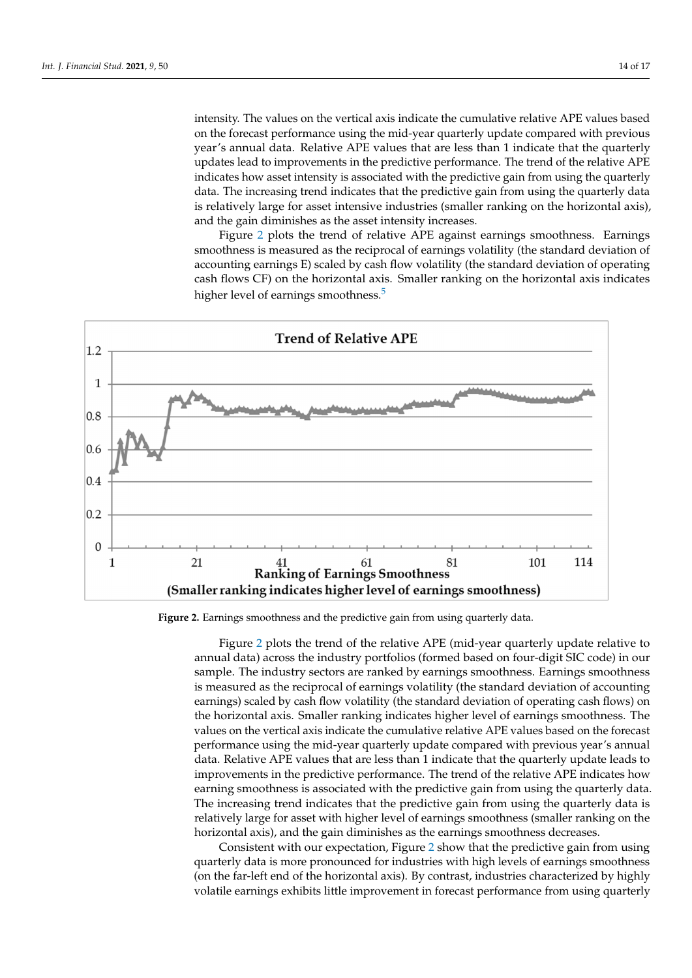intensity. The values on the vertical axis indicate the cumulative relative APE values based on the forecast performance using the mid-year quarterly update compared with previous year's annual data. Relative APE values that are less than 1 indicate that the quarterly updates lead to improvements in the predictive performance. The trend of the relative APE indicates how asset intensity is associated with the predictive gain from using the quarterly data. The increasing trend indicates that the predictive gain from using the quarterly data. is relatively large for asset intensive industries (smaller ranking on the horizontal axis),  $\frac{1}{2}$ and the gain diminishes as the asset intensity increases.

<span id="page-13-1"></span>Figure [2](#page-13-0) plots the trend of relative APE against earnings smoothness. Earnings Figure 2 plots the trend of relative APE against earnings smoothness. Earnings smoothness is measured as the reciprocal of earnings volatility (the standard deviation of accounting earnings E) scaled by cash flow volatility (the standard deviation of operating accounting earnings E) scaled by cash flow volatility (the standard deviation of operating cash flows CF) on the horizontal axis. Smaller ranking on the horizontal axis indicates cash flows CF) on the horizontal axis. Smaller ranking on the horizontal axis indicates higher level of earnings smoothness.<sup>[5](#page-15-15)</sup>

<span id="page-13-0"></span>

**Figure 2.** Earnings smoothness and the predictive gain from using quarterly data. **Figure 2.** Earnings smoothness and the predictive gain from using quarterly data.

Figure 2 plots the trend of the relative APE (mid-year quarterly update relative to Figure [2](#page-13-0) plots the trend of the relative APE (mid-year quarterly update relative to annual data) across the industry portfolios (formed based on four-digit SIC code) in our annual data) across the industry portfolios (formed based on four-digit SIC code) in our sample. The industry sectors are ranked by earnings smoothness. Earnings smoothness measured as the reciprocal of earnings volatility (the standard deviation of accounting is measured as the reciprocal of earnings volatility (the standard deviation of accounting earnings) scaled by cash flow volatility (the standard deviation of operating cash flows) earnings) scaled by cash flow volatility (the standard deviation of operating cash flows) on the horizontal axis. Smaller ranking indicates higher level of earnings smoothness. The values on the vertical axis indicate the cumulative relative APE values based on the fore-values on the vertical axis indicate the cumulative relative APE values based on the forecast performance using the mid-year quarterly update compared with previous year's annual data. Relative APE values that are less than 1 indicate that the quarterly update leads to improvements in the predictive performance. The trend of the relative APE indicates how earning smoothness is associated with the predictive gain from using the quarterly data. The increasing trend indicates that the predictive gain from using the quarterly data is relatively large for asset with higher level of earnings smoothness (smaller ranking on the the horizontal axis), and the gain diminishes as the earnings smoothness decreases. horizontal axis), and the gain diminishes as the earnings smoothness decreases.

Consistent with our expectation, Figure 2 show that the predictive gain from using Consistent with our expectation, Figure [2](#page-13-0) show that the predictive gain from using quarterly data is more pronounced for industries with high levels of earnings smoothness quarterly data is more pronounced for industries with high levels of earnings smoothness (on the far-left end of the horizontal axis). By contrast, industries characterized by highly (on the far-left end of the horizontal axis). By contrast, industries characterized by highly volatile earnings exhibits little improvement in forecast performance from using quarterly volatile earnings exhibits little improvement in forecast performance from using quarterly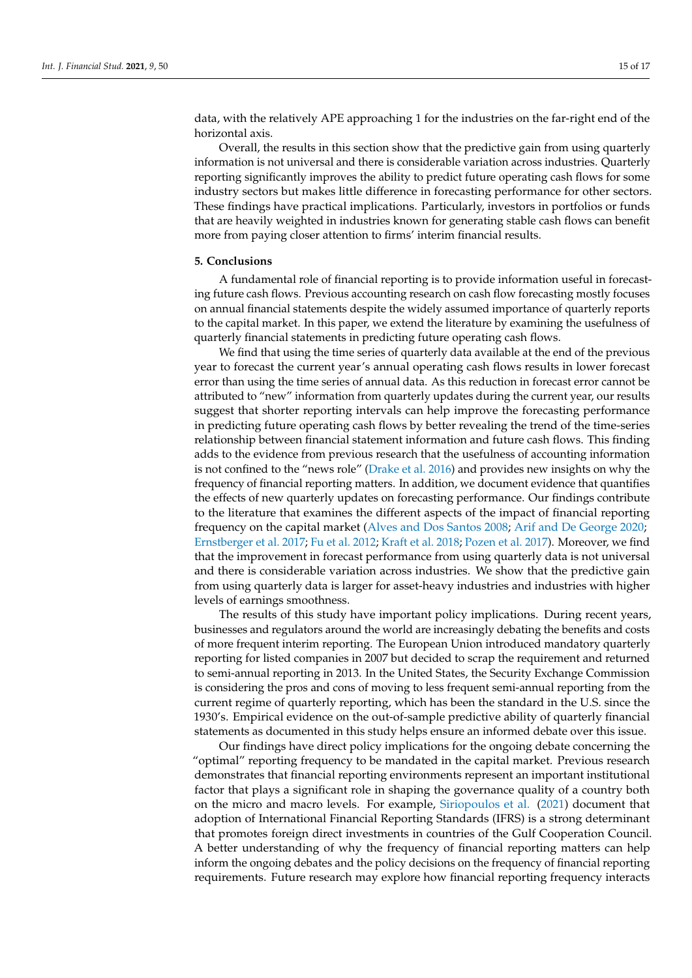data, with the relatively APE approaching 1 for the industries on the far-right end of the horizontal axis.

Overall, the results in this section show that the predictive gain from using quarterly information is not universal and there is considerable variation across industries. Quarterly reporting significantly improves the ability to predict future operating cash flows for some industry sectors but makes little difference in forecasting performance for other sectors. These findings have practical implications. Particularly, investors in portfolios or funds that are heavily weighted in industries known for generating stable cash flows can benefit more from paying closer attention to firms' interim financial results.

# <span id="page-14-0"></span>**5. Conclusions**

A fundamental role of financial reporting is to provide information useful in forecasting future cash flows. Previous accounting research on cash flow forecasting mostly focuses on annual financial statements despite the widely assumed importance of quarterly reports to the capital market. In this paper, we extend the literature by examining the usefulness of quarterly financial statements in predicting future operating cash flows.

We find that using the time series of quarterly data available at the end of the previous year to forecast the current year's annual operating cash flows results in lower forecast error than using the time series of annual data. As this reduction in forecast error cannot be attributed to "new" information from quarterly updates during the current year, our results suggest that shorter reporting intervals can help improve the forecasting performance in predicting future operating cash flows by better revealing the trend of the time-series relationship between financial statement information and future cash flows. This finding adds to the evidence from previous research that the usefulness of accounting information is not confined to the "news role" [\(Drake et al.](#page-15-2) [2016\)](#page-15-2) and provides new insights on why the frequency of financial reporting matters. In addition, we document evidence that quantifies the effects of new quarterly updates on forecasting performance. Our findings contribute to the literature that examines the different aspects of the impact of financial reporting frequency on the capital market [\(Alves and Dos Santos](#page-15-3) [2008;](#page-15-3) [Arif and De George](#page-15-4) [2020;](#page-15-4) [Ernstberger et al.](#page-15-16) [2017;](#page-15-16) [Fu et al.](#page-16-4) [2012;](#page-16-4) [Kraft et al.](#page-16-10) [2018;](#page-16-10) [Pozen et al.](#page-16-11) [2017\)](#page-16-11). Moreover, we find that the improvement in forecast performance from using quarterly data is not universal and there is considerable variation across industries. We show that the predictive gain from using quarterly data is larger for asset-heavy industries and industries with higher levels of earnings smoothness.

The results of this study have important policy implications. During recent years, businesses and regulators around the world are increasingly debating the benefits and costs of more frequent interim reporting. The European Union introduced mandatory quarterly reporting for listed companies in 2007 but decided to scrap the requirement and returned to semi-annual reporting in 2013. In the United States, the Security Exchange Commission is considering the pros and cons of moving to less frequent semi-annual reporting from the current regime of quarterly reporting, which has been the standard in the U.S. since the 1930's. Empirical evidence on the out-of-sample predictive ability of quarterly financial statements as documented in this study helps ensure an informed debate over this issue.

Our findings have direct policy implications for the ongoing debate concerning the "optimal" reporting frequency to be mandated in the capital market. Previous research demonstrates that financial reporting environments represent an important institutional factor that plays a significant role in shaping the governance quality of a country both on the micro and macro levels. For example, [Siriopoulos et al.](#page-16-12) [\(2021\)](#page-16-12) document that adoption of International Financial Reporting Standards (IFRS) is a strong determinant that promotes foreign direct investments in countries of the Gulf Cooperation Council. A better understanding of why the frequency of financial reporting matters can help inform the ongoing debates and the policy decisions on the frequency of financial reporting requirements. Future research may explore how financial reporting frequency interacts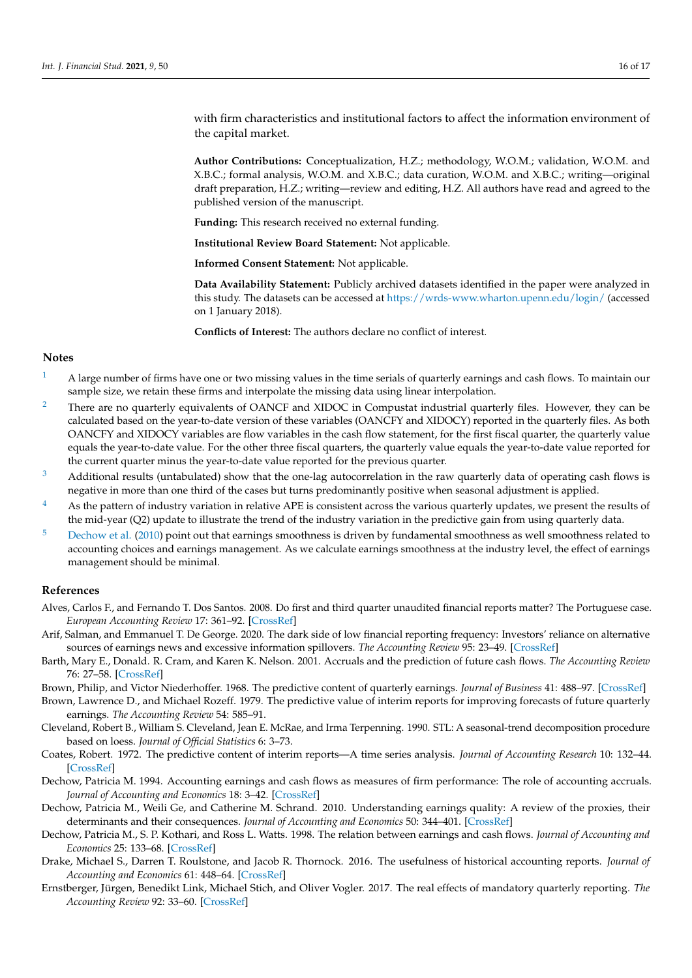with firm characteristics and institutional factors to affect the information environment of the capital market.

**Author Contributions:** Conceptualization, H.Z.; methodology, W.O.M.; validation, W.O.M. and X.B.C.; formal analysis, W.O.M. and X.B.C.; data curation, W.O.M. and X.B.C.; writing—original draft preparation, H.Z.; writing—review and editing, H.Z. All authors have read and agreed to the published version of the manuscript.

**Funding:** This research received no external funding.

**Institutional Review Board Statement:** Not applicable.

**Informed Consent Statement:** Not applicable.

**Data Availability Statement:** Publicly archived datasets identified in the paper were analyzed in this study. The datasets can be accessed at <https://wrds-www.wharton.upenn.edu/login/> (accessed on 1 January 2018).

**Conflicts of Interest:** The authors declare no conflict of interest.

#### **Notes**

- <span id="page-15-11"></span>[1](#page-3-1) A large number of firms have one or two missing values in the time serials of quarterly earnings and cash flows. To maintain our sample size, we retain these firms and interpolate the missing data using linear interpolation.
- <span id="page-15-12"></span>[2](#page-4-3) There are no quarterly equivalents of OANCF and XIDOC in Compustat industrial quarterly files. However, they can be calculated based on the year-to-date version of these variables (OANCFY and XIDOCY) reported in the quarterly files. As both OANCFY and XIDOCY variables are flow variables in the cash flow statement, for the first fiscal quarter, the quarterly value equals the year-to-date value. For the other three fiscal quarters, the quarterly value equals the year-to-date value reported for the current quarter minus the year-to-date value reported for the previous quarter.
- <span id="page-15-13"></span> $3$  Additional results (untabulated) show that the one-lag autocorrelation in the raw quarterly data of operating cash flows is negative in more than one third of the cases but turns predominantly positive when seasonal adjustment is applied.
- <span id="page-15-14"></span> $4$  As the pattern of industry variation in relative APE is consistent across the various quarterly updates, we present the results of the mid-year (Q2) update to illustrate the trend of the industry variation in the predictive gain from using quarterly data.
- <span id="page-15-15"></span> $5$  [Dechow et al.](#page-15-8) [\(2010\)](#page-15-8) point out that earnings smoothness is driven by fundamental smoothness as well smoothness related to accounting choices and earnings management. As we calculate earnings smoothness at the industry level, the effect of earnings management should be minimal.

# **References**

- <span id="page-15-3"></span>Alves, Carlos F., and Fernando T. Dos Santos. 2008. Do first and third quarter unaudited financial reports matter? The Portuguese case. *European Accounting Review* 17: 361–92. [\[CrossRef\]](http://doi.org/10.1080/09638180802156399)
- <span id="page-15-4"></span>Arif, Salman, and Emmanuel T. De George. 2020. The dark side of low financial reporting frequency: Investors' reliance on alternative sources of earnings news and excessive information spillovers. *The Accounting Review* 95: 23–49. [\[CrossRef\]](http://doi.org/10.2308/tar-2017-0018)
- <span id="page-15-0"></span>Barth, Mary E., Donald. R. Cram, and Karen K. Nelson. 2001. Accruals and the prediction of future cash flows. *The Accounting Review* 76: 27–58. [\[CrossRef\]](http://doi.org/10.2308/accr.2001.76.1.27)
- <span id="page-15-6"></span>Brown, Philip, and Victor Niederhoffer. 1968. The predictive content of quarterly earnings. *Journal of Business* 41: 488–97. [\[CrossRef\]](http://doi.org/10.1086/295141)
- <span id="page-15-5"></span>Brown, Lawrence D., and Michael Rozeff. 1979. The predictive value of interim reports for improving forecasts of future quarterly earnings. *The Accounting Review* 54: 585–91.
- <span id="page-15-9"></span>Cleveland, Robert B., William S. Cleveland, Jean E. McRae, and Irma Terpenning. 1990. STL: A seasonal-trend decomposition procedure based on loess. *Journal of Official Statistics* 6: 3–73.
- <span id="page-15-7"></span>Coates, Robert. 1972. The predictive content of interim reports—A time series analysis. *Journal of Accounting Research* 10: 132–44. [\[CrossRef\]](http://doi.org/10.2307/2489868)
- <span id="page-15-10"></span>Dechow, Patricia M. 1994. Accounting earnings and cash flows as measures of firm performance: The role of accounting accruals. *Journal of Accounting and Economics* 18: 3–42. [\[CrossRef\]](http://doi.org/10.1016/0165-4101(94)90016-7)
- <span id="page-15-8"></span>Dechow, Patricia M., Weili Ge, and Catherine M. Schrand. 2010. Understanding earnings quality: A review of the proxies, their determinants and their consequences. *Journal of Accounting and Economics* 50: 344–401. [\[CrossRef\]](http://doi.org/10.1016/j.jacceco.2010.09.001)
- <span id="page-15-1"></span>Dechow, Patricia M., S. P. Kothari, and Ross L. Watts. 1998. The relation between earnings and cash flows. *Journal of Accounting and Economics* 25: 133–68. [\[CrossRef\]](http://doi.org/10.1016/S0165-4101(98)00020-2)
- <span id="page-15-2"></span>Drake, Michael S., Darren T. Roulstone, and Jacob R. Thornock. 2016. The usefulness of historical accounting reports. *Journal of Accounting and Economics* 61: 448–64. [\[CrossRef\]](http://doi.org/10.1016/j.jacceco.2015.12.001)
- <span id="page-15-16"></span>Ernstberger, Jürgen, Benedikt Link, Michael Stich, and Oliver Vogler. 2017. The real effects of mandatory quarterly reporting. *The Accounting Review* 92: 33–60. [\[CrossRef\]](http://doi.org/10.2308/accr-51705)